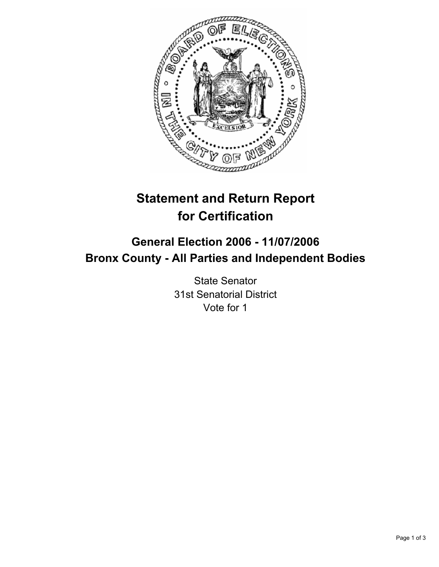

# **Statement and Return Report for Certification**

## **General Election 2006 - 11/07/2006 Bronx County - All Parties and Independent Bodies**

State Senator 31st Senatorial District Vote for 1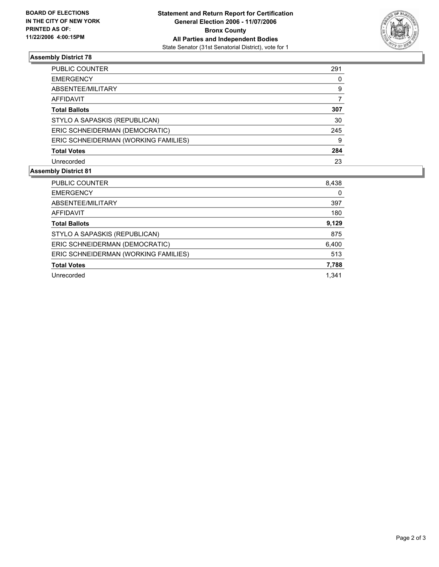

### **Assembly District 78**

| PUBLIC COUNTER                       | 291 |  |
|--------------------------------------|-----|--|
| <b>EMERGENCY</b>                     | 0   |  |
| ABSENTEE/MILITARY                    | 9   |  |
| AFFIDAVIT                            |     |  |
| <b>Total Ballots</b>                 | 307 |  |
| STYLO A SAPASKIS (REPUBLICAN)        | 30  |  |
| ERIC SCHNEIDERMAN (DEMOCRATIC)       | 245 |  |
| ERIC SCHNEIDERMAN (WORKING FAMILIES) | 9   |  |
| <b>Total Votes</b>                   | 284 |  |
| Unrecorded                           | 23  |  |

#### **Assembly District 81**

| PUBLIC COUNTER                       | 8,438 |
|--------------------------------------|-------|
| <b>EMERGENCY</b>                     | 0     |
| ABSENTEE/MILITARY                    | 397   |
| AFFIDAVIT                            | 180   |
| <b>Total Ballots</b>                 | 9,129 |
| STYLO A SAPASKIS (REPUBLICAN)        | 875   |
| ERIC SCHNEIDERMAN (DEMOCRATIC)       | 6,400 |
| ERIC SCHNEIDERMAN (WORKING FAMILIES) | 513   |
| <b>Total Votes</b>                   | 7,788 |
| Unrecorded                           | 1.341 |